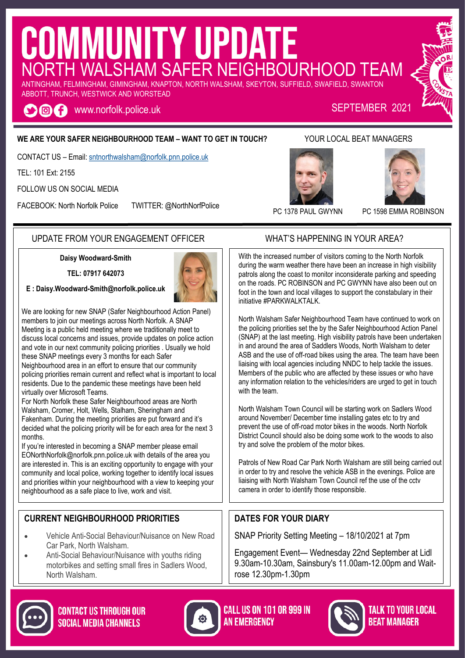# COMMUNITY UPDATE ANTINGHAM, FELMINGHAM, GIMINGHAM, KNAPTON, NORTH WALSHAM, SKEYTON, SUFFIELD, SWAFIELD, SWANTON

ABBOTT, TRUNCH, WESTWICK AND WORSTEAD

www.norfolk.police.uk SEPTEMBER 2021 OOA

#### **WE ARE YOUR SAFER NEIGHBOURHOOD TEAM – WANT TO GET IN TOUCH?** YOUR LOCAL BEAT MANAGERS

CONTACT US – Email: [sntnorthwalsham@norfolk.pnn.police.uk](mailto:sntwells@norfolk.pnn.police.uk)

TEL: 101 Ext: 2155

FOLLOW US ON SOCIAL MEDIA

FACEBOOK: North Norfolk Police TWITTER: @NorthNorfPolice





#### UPDATE FROM YOUR ENGAGEMENT OFFICER WHAT'S HAPPENING IN YOUR AREA?

**Daisy Woodward-Smith**

**TEL: 07917 642073**



We are looking for new SNAP (Safer Neighbourhood Action Panel) members to join our meetings across North Norfolk. A SNAP Meeting is a public held meeting where we traditionally meet to discuss local concerns and issues, provide updates on police action and vote in our next community policing priorities . Usually we hold these SNAP meetings every 3 months for each Safer

Neighbourhood area in an effort to ensure that our community policing priorities remain current and reflect what is important to local residents. Due to the pandemic these meetings have been held virtually over Microsoft Teams.

For North Norfolk these Safer Neighbourhood areas are North Walsham, Cromer, Holt, Wells, Stalham, Sheringham and Fakenham. During the meeting priorities are put forward and it's decided what the policing priority will be for each area for the next 3 months.

If you're interested in becoming a SNAP member please email EONorthNorfolk@norfolk.pnn.police.uk with details of the area you are interested in. This is an exciting opportunity to engage with your community and local police, working together to identify local issues and priorities within your neighbourhood with a view to keeping your neighbourhood as a safe place to live, work and visit.

#### **CURRENT NEIGHBOURHOOD PRIORITIES**

- Vehicle Anti-Social Behaviour/Nuisance on New Road Car Park, North Walsham.
- Anti-Social Behaviour/Nuisance with youths riding motorbikes and setting small fires in Sadlers Wood, North Walsham.



**CALL US ON 101 OR 999 IN AN EMERGENCY** 



**TALK TO YOUR LOCAL BEAT MANAGER** 



With the increased number of visitors coming to the North Norfolk during the warm weather there have been an increase in high visibility patrols along the coast to monitor inconsiderate parking and speeding on the roads. PC ROBINSON and PC GWYNN have also been out on foot in the town and local villages to support the constabulary in their initiative #PARKWALKTALK.

North Walsham Safer Neighbourhood Team have continued to work on the policing priorities set the by the Safer Neighbourhood Action Panel (SNAP) at the last meeting. High visibility patrols have been undertaken in and around the area of Saddlers Woods, North Walsham to deter ASB and the use of off-road bikes using the area. The team have been liaising with local agencies including NNDC to help tackle the issues. Members of the public who are affected by these issues or who have any information relation to the vehicles/riders are urged to get in touch with the team.

North Walsham Town Council will be starting work on Sadlers Wood around November/ December time installing gates etc to try and prevent the use of off-road motor bikes in the woods. North Norfolk District Council should also be doing some work to the woods to also try and solve the problem of the motor bikes.

Patrols of New Road Car Park North Walsham are still being carried out in order to try and resolve the vehicle ASB in the evenings. Police are liaising with North Walsham Town Council ref the use of the cctv camera in order to identify those responsible.

#### **DATES FOR YOUR DIARY**

SNAP Priority Setting Meeting – 18/10/2021 at 7pm

Engagement Event— Wednesday 22nd September at Lidl 9.30am-10.30am, Sainsbury's 11.00am-12.00pm and Waitrose 12.30pm-1.30pm